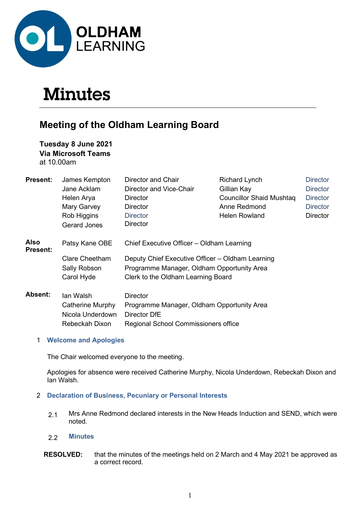

# **Minutes**

# Meeting of the Oldham Learning Board

Tuesday 8 June 2021 Via Microsoft Teams at 10.00am

| <b>Present:</b>  | James Kempton         | Director and Chair                               | <b>Richard Lynch</b>     |                 |  |
|------------------|-----------------------|--------------------------------------------------|--------------------------|-----------------|--|
|                  | Jane Acklam           | Director and Vice-Chair                          | Gillian Kay              | <b>Director</b> |  |
|                  | Helen Arya            | Director                                         | Councillor Shaid Mushtag | <b>Director</b> |  |
|                  | Mary Garvey           | Director                                         | Anne Redmond             | <b>Director</b> |  |
|                  | Rob Higgins           | <b>Director</b>                                  | <b>Helen Rowland</b>     | <b>Director</b> |  |
|                  | Gerard Jones          | <b>Director</b>                                  |                          |                 |  |
| Also<br>Present: | Patsy Kane OBE        | Chief Executive Officer - Oldham Learning        |                          |                 |  |
|                  | <b>Clare Cheetham</b> | Deputy Chief Executive Officer - Oldham Learning |                          |                 |  |
|                  | Sally Robson          | Programme Manager, Oldham Opportunity Area       |                          |                 |  |
|                  | Carol Hyde            | Clerk to the Oldham Learning Board               |                          |                 |  |
| Absent:          | lan Walsh             | <b>Director</b>                                  |                          |                 |  |
|                  | Catherine Murphy      | Programme Manager, Oldham Opportunity Area       |                          |                 |  |
|                  | Nicola Underdown      | Director DfE                                     |                          |                 |  |
|                  | Rebeckah Dixon        | Regional School Commissioners office             |                          |                 |  |
|                  |                       |                                                  |                          |                 |  |

#### 1 Welcome and Apologies

The Chair welcomed everyone to the meeting.

Apologies for absence were received Catherine Murphy, Nicola Underdown, Rebeckah Dixon and Ian Walsh.

#### 2 Declaration of Business, Pecuniary or Personal Interests

2.1 Mrs Anne Redmond declared interests in the New Heads Induction and SEND, which were noted.

#### 2.2 Minutes

RESOLVED: that the minutes of the meetings held on 2 March and 4 May 2021 be approved as a correct record.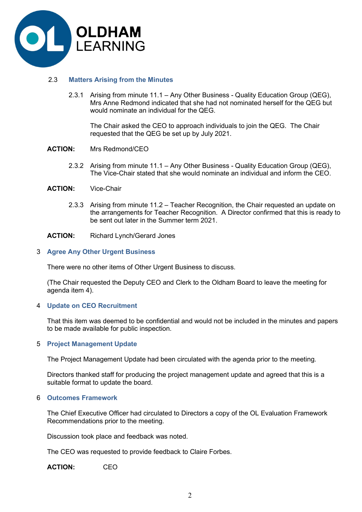

#### 2.3 Matters Arising from the Minutes

 2.3.1 Arising from minute 11.1 – Any Other Business - Quality Education Group (QEG), Mrs Anne Redmond indicated that she had not nominated herself for the QEG but would nominate an individual for the QEG.

The Chair asked the CEO to approach individuals to join the QEG. The Chair requested that the QEG be set up by July 2021.

- ACTION: Mrs Redmond/CEO
	- 2.3.2 Arising from minute 11.1 Any Other Business Quality Education Group (QEG), The Vice-Chair stated that she would nominate an individual and inform the CEO.
- ACTION: Vice-Chair
	- 2.3.3 Arising from minute 11.2 Teacher Recognition, the Chair requested an update on the arrangements for Teacher Recognition. A Director confirmed that this is ready to be sent out later in the Summer term 2021.
- ACTION: Richard Lynch/Gerard Jones

#### 3 Agree Any Other Urgent Business

There were no other items of Other Urgent Business to discuss.

 (The Chair requested the Deputy CEO and Clerk to the Oldham Board to leave the meeting for agenda item 4).

#### 4 Update on CEO Recruitment

 That this item was deemed to be confidential and would not be included in the minutes and papers to be made available for public inspection.

#### 5 Project Management Update

The Project Management Update had been circulated with the agenda prior to the meeting.

Directors thanked staff for producing the project management update and agreed that this is a suitable format to update the board.

#### 6 Outcomes Framework

 The Chief Executive Officer had circulated to Directors a copy of the OL Evaluation Framework Recommendations prior to the meeting.

Discussion took place and feedback was noted.

The CEO was requested to provide feedback to Claire Forbes.

ACTION: CEO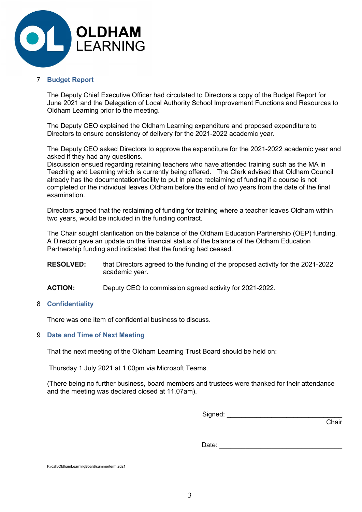

#### 7 Budget Report

 The Deputy Chief Executive Officer had circulated to Directors a copy of the Budget Report for June 2021 and the Delegation of Local Authority School Improvement Functions and Resources to Oldham Learning prior to the meeting.

 The Deputy CEO explained the Oldham Learning expenditure and proposed expenditure to Directors to ensure consistency of delivery for the 2021-2022 academic year.

 The Deputy CEO asked Directors to approve the expenditure for the 2021-2022 academic year and asked if they had any questions.

Discussion ensued regarding retaining teachers who have attended training such as the MA in Teaching and Learning which is currently being offered. The Clerk advised that Oldham Council already has the documentation/facility to put in place reclaiming of funding if a course is not completed or the individual leaves Oldham before the end of two years from the date of the final examination.

Directors agreed that the reclaiming of funding for training where a teacher leaves Oldham within two years, would be included in the funding contract.

The Chair sought clarification on the balance of the Oldham Education Partnership (OEP) funding. A Director gave an update on the financial status of the balance of the Oldham Education Partnership funding and indicated that the funding had ceased.

RESOLVED: that Directors agreed to the funding of the proposed activity for the 2021-2022 academic year.

ACTION: Deputy CEO to commission agreed activity for 2021-2022.

#### 8 Confidentiality

There was one item of confidential business to discuss.

#### 9 Date and Time of Next Meeting

That the next meeting of the Oldham Learning Trust Board should be held on:

Thursday 1 July 2021 at 1.00pm via Microsoft Teams.

 (There being no further business, board members and trustees were thanked for their attendance and the meeting was declared closed at 11.07am).

Signed: \_\_\_\_\_\_\_\_\_\_\_\_\_\_\_\_\_\_\_\_\_\_\_\_\_\_\_\_\_\_\_

and the contract of the contract of the contract of the contract of the contract of the contract of the contract of the contract of the contract of the contract of the contract of the contract of the contract of the contra

Date: \_\_\_\_\_\_\_\_\_\_\_\_\_\_\_\_\_\_\_\_\_\_\_\_\_\_\_\_\_\_\_\_\_

F:/cah/OldhamLearningBoard/summerterm 2021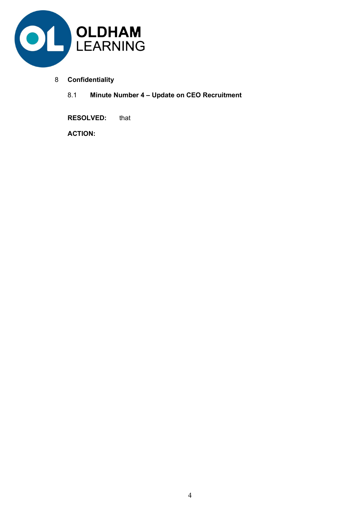

- 8 Confidentiality
	- 8.1 Minute Number 4 Update on CEO Recruitment

RESOLVED: that

ACTION: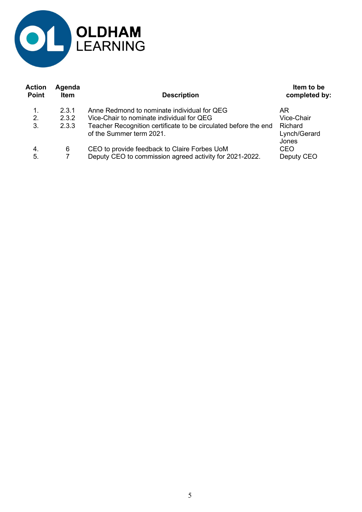

| Action<br>Point | Agenda<br><b>Item</b> | <b>Description</b>                                                                                      | Item to be<br>completed by:      |
|-----------------|-----------------------|---------------------------------------------------------------------------------------------------------|----------------------------------|
| 1.              | 2.3.1                 | Anne Redmond to nominate individual for QEG                                                             | AR.                              |
| 2.              | 2.3.2                 | Vice-Chair to nominate individual for QEG                                                               | Vice-Chair                       |
| 3.              | 2.3.3                 | Teacher Recognition certificate to be circulated before the end<br>of the Summer term 2021.             | Richard<br>Lynch/Gerard<br>Jones |
| 4.<br>5.        | 6                     | CEO to provide feedback to Claire Forbes UoM<br>Deputy CEO to commission agreed activity for 2021-2022. | CEO.<br>Deputy CEO               |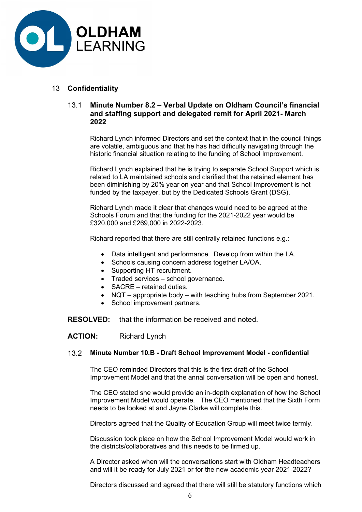

## 13 Confidentiality

### 13.1 Minute Number 8.2 – Verbal Update on Oldham Council's financial and staffing support and delegated remit for April 2021- March 2022

 Richard Lynch informed Directors and set the context that in the council things are volatile, ambiguous and that he has had difficulty navigating through the historic financial situation relating to the funding of School Improvement.

Richard Lynch explained that he is trying to separate School Support which is related to LA maintained schools and clarified that the retained element has been diminishing by 20% year on year and that School Improvement is not funded by the taxpayer, but by the Dedicated Schools Grant (DSG).

Richard Lynch made it clear that changes would need to be agreed at the Schools Forum and that the funding for the 2021-2022 year would be £320,000 and £269,000 in 2022-2023.

Richard reported that there are still centrally retained functions e.g.:

- Data intelligent and performance. Develop from within the LA.
- Schools causing concern address together LA/OA.
- Supporting HT recruitment.
- Traded services school governance.
- SACRE retained duties.
- NQT appropriate body with teaching hubs from September 2021.
- School improvement partners.

RESOLVED: that the information be received and noted.

ACTION: Richard Lynch

#### 13.2 Minute Number 10.B - Draft School Improvement Model - confidential

 The CEO reminded Directors that this is the first draft of the School Improvement Model and that the annal conversation will be open and honest.

The CEO stated she would provide an in-depth explanation of how the School Improvement Model would operate. The CEO mentioned that the Sixth Form needs to be looked at and Jayne Clarke will complete this.

Directors agreed that the Quality of Education Group will meet twice termly.

Discussion took place on how the School Improvement Model would work in the districts/collaboratives and this needs to be firmed up.

A Director asked when will the conversations start with Oldham Headteachers and will it be ready for July 2021 or for the new academic year 2021-2022?

Directors discussed and agreed that there will still be statutory functions which